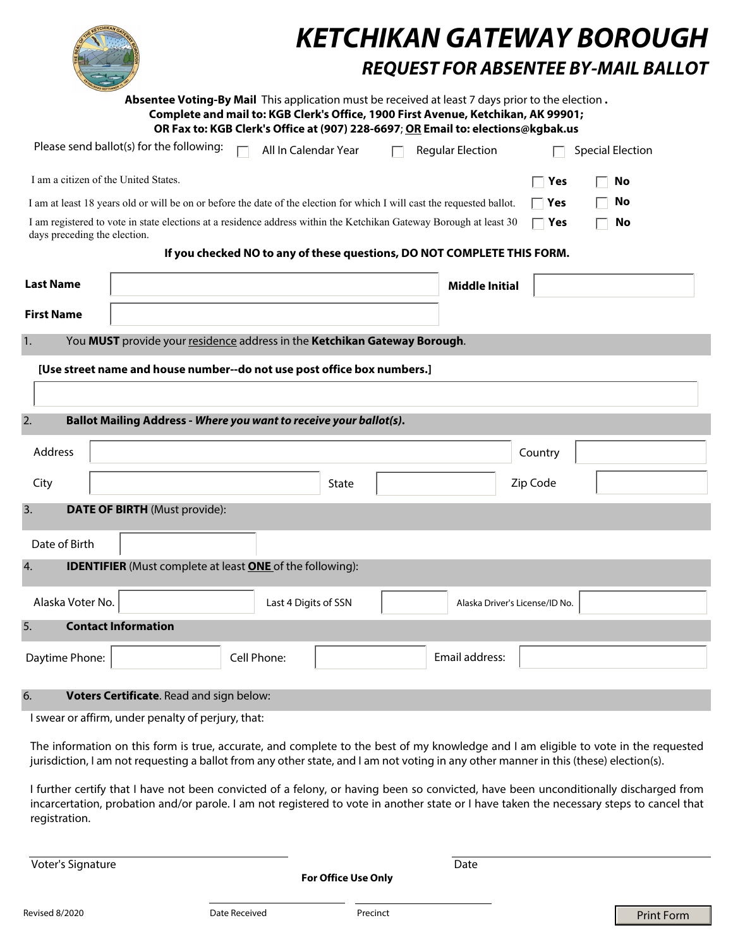|                                                                                                                         |                                                                                                                    |                                                                                                                                                                       |       |  | <b>KETCHIKAN GATEWAY BOROUGH</b><br><b>REQUEST FOR ABSENTEE BY-MAIL BALLOT</b> |          |                         |  |
|-------------------------------------------------------------------------------------------------------------------------|--------------------------------------------------------------------------------------------------------------------|-----------------------------------------------------------------------------------------------------------------------------------------------------------------------|-------|--|--------------------------------------------------------------------------------|----------|-------------------------|--|
|                                                                                                                         | Absentee Voting-By Mail This application must be received at least 7 days prior to the election.                   | Complete and mail to: KGB Clerk's Office, 1900 First Avenue, Ketchikan, AK 99901;<br>OR Fax to: KGB Clerk's Office at (907) 228-6697; OR Email to: elections@kgbak.us |       |  |                                                                                |          |                         |  |
|                                                                                                                         | Please send ballot(s) for the following:                                                                           | All In Calendar Year                                                                                                                                                  |       |  | <b>Regular Election</b>                                                        |          | <b>Special Election</b> |  |
| I am a citizen of the United States.                                                                                    |                                                                                                                    |                                                                                                                                                                       |       |  |                                                                                | Yes      | No                      |  |
| I am at least 18 years old or will be on or before the date of the election for which I will cast the requested ballot. |                                                                                                                    |                                                                                                                                                                       |       |  |                                                                                | Yes      | No                      |  |
| days preceding the election.                                                                                            | I am registered to vote in state elections at a residence address within the Ketchikan Gateway Borough at least 30 |                                                                                                                                                                       |       |  |                                                                                | Yes      | No                      |  |
|                                                                                                                         |                                                                                                                    | If you checked NO to any of these questions, DO NOT COMPLETE THIS FORM.                                                                                               |       |  |                                                                                |          |                         |  |
| <b>Last Name</b>                                                                                                        |                                                                                                                    |                                                                                                                                                                       |       |  | <b>Middle Initial</b>                                                          |          |                         |  |
| <b>First Name</b>                                                                                                       |                                                                                                                    |                                                                                                                                                                       |       |  |                                                                                |          |                         |  |
| You MUST provide your residence address in the Ketchikan Gateway Borough.<br>1.                                         |                                                                                                                    |                                                                                                                                                                       |       |  |                                                                                |          |                         |  |
| [Use street name and house number--do not use post office box numbers.]                                                 |                                                                                                                    |                                                                                                                                                                       |       |  |                                                                                |          |                         |  |
|                                                                                                                         |                                                                                                                    |                                                                                                                                                                       |       |  |                                                                                |          |                         |  |
| 2.                                                                                                                      | Ballot Mailing Address - Where you want to receive your ballot(s).                                                 |                                                                                                                                                                       |       |  |                                                                                |          |                         |  |
| Address                                                                                                                 |                                                                                                                    |                                                                                                                                                                       |       |  |                                                                                | Country  |                         |  |
| City                                                                                                                    |                                                                                                                    |                                                                                                                                                                       | State |  |                                                                                | Zip Code |                         |  |
| 3.                                                                                                                      | <b>DATE OF BIRTH</b> (Must provide):                                                                               |                                                                                                                                                                       |       |  |                                                                                |          |                         |  |
|                                                                                                                         |                                                                                                                    |                                                                                                                                                                       |       |  |                                                                                |          |                         |  |
| Date of Birth<br>4.                                                                                                     | <b>IDENTIFIER</b> (Must complete at least <b>ONE</b> of the following):                                            |                                                                                                                                                                       |       |  |                                                                                |          |                         |  |
|                                                                                                                         |                                                                                                                    |                                                                                                                                                                       |       |  |                                                                                |          |                         |  |
| Alaska Voter No.                                                                                                        |                                                                                                                    | Last 4 Digits of SSN                                                                                                                                                  |       |  | Alaska Driver's License/ID No.                                                 |          |                         |  |
| 5.                                                                                                                      | <b>Contact Information</b>                                                                                         |                                                                                                                                                                       |       |  |                                                                                |          |                         |  |
| Daytime Phone:                                                                                                          |                                                                                                                    | Cell Phone:                                                                                                                                                           |       |  | Email address:                                                                 |          |                         |  |
| 6.                                                                                                                      | Voters Certificate. Read and sign below:                                                                           |                                                                                                                                                                       |       |  |                                                                                |          |                         |  |

I swear or affirm, under penalty of perjury, that:

The information on this form is true, accurate, and complete to the best of my knowledge and I am eligible to vote in the requested jurisdiction, I am not requesting a ballot from any other state, and I am not voting in any other manner in this (these) election(s).

I further certify that I have not been convicted of a felony, or having been so convicted, have been unconditionally discharged from incarcertation, probation and/or parole. I am not registered to vote in another state or I have taken the necessary steps to cancel that registration.

Voter's Signature Date

**For Office Use Only**